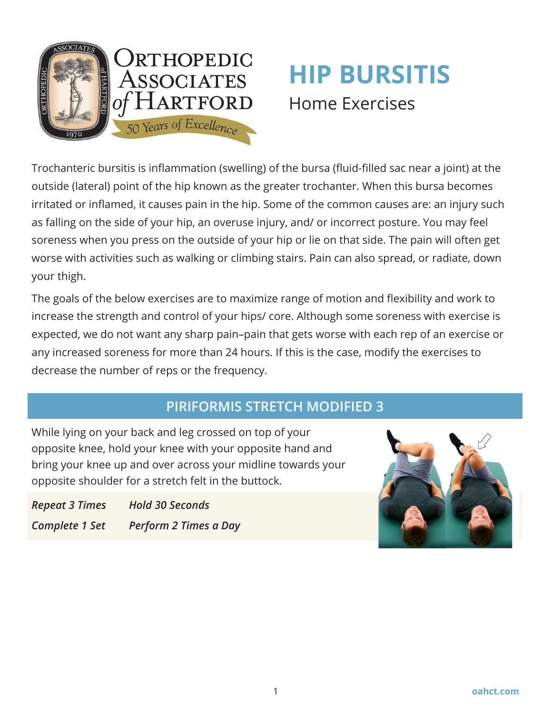

# **HIP BURSITIS**  Home Exercises

Trochanteric bursitis is inflammation (swelling) of the bursa (fluid-filled sac near a joint) at the outside (lateral) point of the hip known as the greater trochanter. When this bursa becomes irritated or inflamed, it causes pain in the hip. Some of the common causes are: an injury such as falling on the side of your hip, an overuse injury, and/ or incorrect posture. You may feel soreness when you press on the outside of your hip or lie on that side. The pain will often get worse with activities such as walking or climbing stairs. Pain can also spread, or radiate, down your thigh.

The goals of the below exercises are to maximize range of motion and flexibility and work to increase the strength and control of your hips/ core. Although some soreness with exercise is expected, we do not want any sharp pain–pain that gets worse with each rep of an exercise or any increased soreness for more than 24 hours. If this is the case, modify the exercises to decrease the number of reps or the frequency.

## **PIRIFORMIS STRETCH MODIFIED 3**

While lying on your back and leg crossed on top of your opposite knee, hold your knee with your opposite hand and bring your knee up and over across your midline towards your opposite shoulder for a stretch felt in the buttock.

*Repeat 3 Times Hold 30 Seconds Complete 1 Set Perform 2 Times a Day*

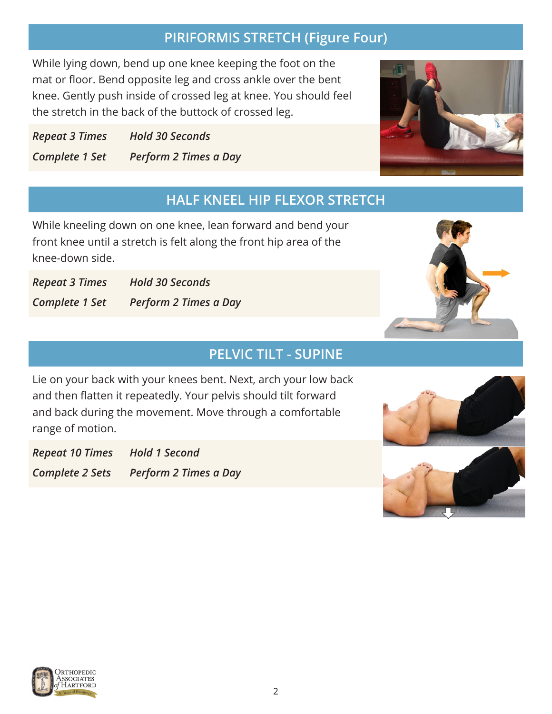## **PIRIFORMIS STRETCH (Figure Four)**

While lying down, bend up one knee keeping the foot on the mat or floor. Bend opposite leg and cross ankle over the bent knee. Gently push inside of crossed leg at knee. You should feel the stretch in the back of the buttock of crossed leg.

*Repeat 3 Times Hold 30 Seconds Complete 1 Set Perform 2 Times a Day*

## **HALF KNEEL HIP FLEXOR STRETCH**

While kneeling down on one knee, lean forward and bend your front knee until a stretch is felt along the front hip area of the knee-down side.

*Repeat 3 Times Hold 30 Seconds Complete 1 Set Perform 2 Times a Day*

#### **PELVIC TILT - SUPINE**

Lie on your back with your knees bent. Next, arch your low back and then flatten it repeatedly. Your pelvis should tilt forward and back during the movement. Move through a comfortable range of motion.

*Repeat 10 Times Hold 1 Second Complete 2 Sets Perform 2 Times a Day*







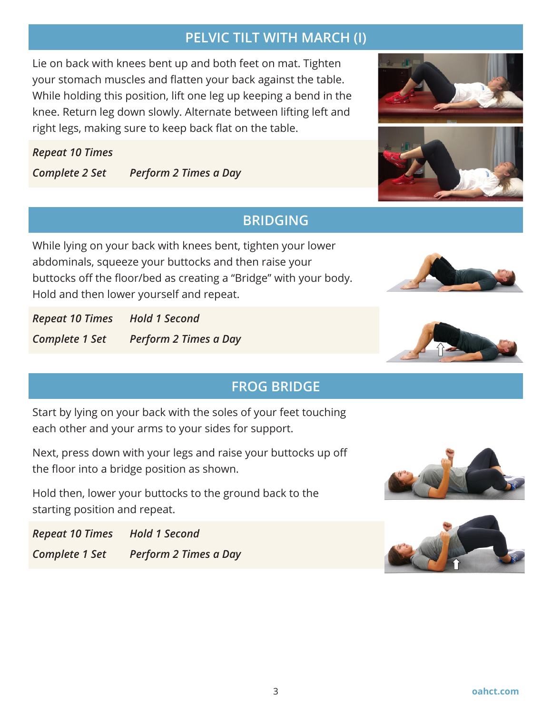## **PELVIC TILT WITH MARCH (I)**

Lie on back with knees bent up and both feet on mat. Tighten your stomach muscles and flatten your back against the table. While holding this position, lift one leg up keeping a bend in the knee. Return leg down slowly. Alternate between lifting left and right legs, making sure to keep back flat on the table.

#### *Repeat 10 Times*

*Complete 2 Set Perform 2 Times a Day*

## **BRIDGING**

While lying on your back with knees bent, tighten your lower abdominals, squeeze your buttocks and then raise your buttocks off the floor/bed as creating a "Bridge" with your body. Hold and then lower yourself and repeat.

*Repeat 10 Times Hold 1 Second Complete 1 Set Perform 2 Times a Day*

## **FROG BRIDGE**

Start by lying on your back with the soles of your feet touching each other and your arms to your sides for support.

Next, press down with your legs and raise your buttocks up off the floor into a bridge position as shown.

Hold then, lower your buttocks to the ground back to the starting position and repeat.

*Repeat 10 Times Hold 1 Second Complete 1 Set Perform 2 Times a Day*